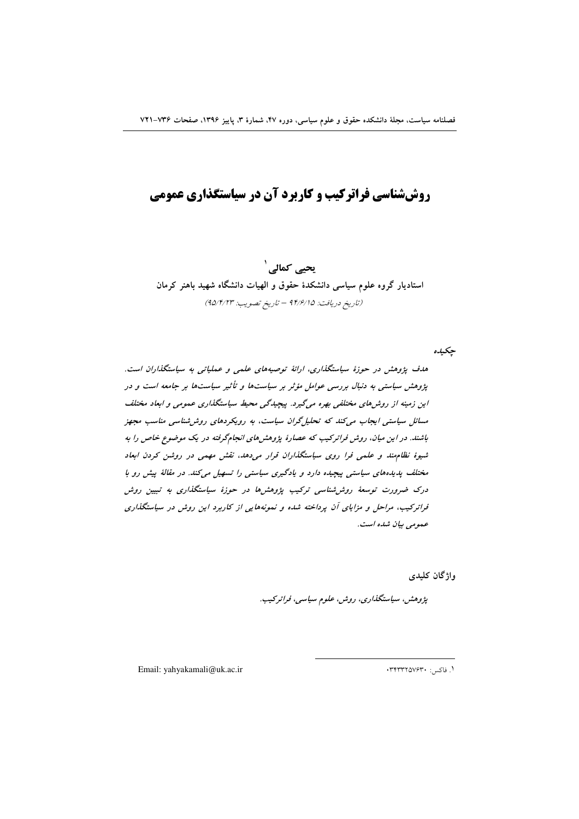## **روششناسی فراترکیب و کاربرد آن در سیاستگذاری عمومی**

**یحیے کمالی <sup>۱</sup>** استادیار گروه علوم سیاسی دانشکدهٔ حقوق و الهیات دانشگاه شهید باهنر کرمان (تاريخ دريافت: ۹۴/۶/۱۵ – تاريخ تصويب: ۹۵/۴/۲۳)

**چ**کیده

هدف پژوهش در حوزهٔ سیاستگذاری، ارائهٔ توصیههای علمی و عملیاتی به سیاستگذاران است. **پژوهش سیاستی به دنبال بررسی عوامل مؤثر بر سیاستها و تأثیر سیاستها بر جامعه است و در** این زمینه از روش%ای مختلفی بهره میگیرد. پیچیدگی محیط سیاستگذاری عمومی و ابعاد مختلف مسائل سیاستی ایجاب میکند که تحلیلگران سیاست، به رویکردهای روششناسی مناسب مجهز باشند. در *ا*ین میان، روش فراترکیب که عصارهٔ پژوهشهای انجامگرفته در یک موضوع خاص را به شیوهٔ نظام *بند و علمی فرا روی سیاستگذاران قرار می دهد، نقش مهمی در روشن کردن ابعاد* مختلف پدیدههای سیاستی پیچیده دارد و یادگیری سیاستی را تسهیل میکند. در مقالهٔ پیش رو با درک ضرورت توسعهٔ روش $\dot{a}$ شناسی ترکیب پژوهش $d$  در حوزهٔ سیاستگذاری به تبیین روش فراترکیب، مراحل و مزایای آن پرداخته شده و نمونههایی از کاربرد این روش در سیاستگذاری حم*ومی بیان شده است.* 

واژگان کلید<u>ی</u>

پژوهش، سیاستگذاری، روش، علوم سیاسی، فراترکیب.

 $\overline{a}$ 

Email: yahyakamali@uk.ac.ir 03433257630 : .١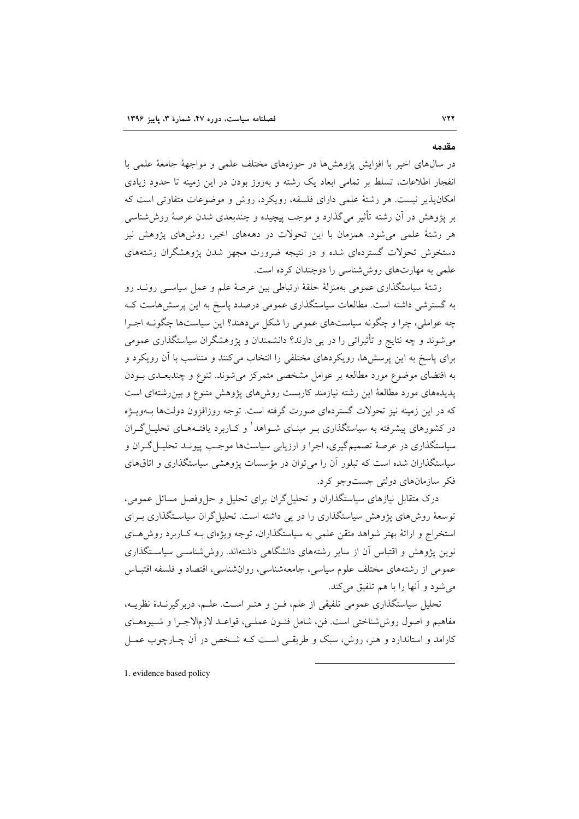در سال@ای اخیر با افزایش پژوهشها در حوزههای مختلف علمی و مواجههٔ جامعهٔ علمی با انفجار اطلاعات، تسلط بر تمامی ابعاد یک رشته و بهروز بودن در این زمینه تا حدود زیادی امکان پذیر نیست. هر رشتهٔ علمی دارای فلسفه، رویکرد، روش و موضوعات متفاوتی است که بر يژوهش در آن رشته تأثير مي گذارد و موجب پيچيده و چندبعدي شدن عرصهٔ روش شناسي هر رشتهٔ علمی میشود. همزمان با این تحولات در دهههای اخیر، روشهای پژوهش نیز دستخوش تحولات گستردهای شده و در نتیجه ضرورت مجهز شدن یژوهشگران رشتههای علمی به مهارتهای روششناسی را دوچندان کرده است.

رشتهٔ سیاستگذاری عمومی بهمنزلهٔ حلقهٔ ارتباطی بین عرصهٔ علم و عمل سیاســی رونــد رو به گسترشی داشته است. مطالعات سیاستگذاری عمومی درصدد پاسخ به این پرسش هاست ک چه عواملي، چرا و چگونه سياستهاي عمومي را شكل مي دهند؟ اين سياستها چگونـه اجـرا می شوند و چه نتایج و تأثیراتی را در یی دارند؟ دانشمندان و پژوهشگران سیاستگذاری عمومی برای پاسخ به این پرسشها، رویکردهای مختلفی را انتخاب میکنند و متناسب با آن رویکرد و به اقتضای موضوع مورد مطالعه بر عوامل مشخصی متمرکز میشوند. تنوع و چندبعـدی بــودن پدیدههای مورد مطالعهٔ این رشته نیازمند کاربست روشهای پژوهش متنوع و بین رشتهای است که در این زمینه نیز تحولات گستردهای صورت گرفته است. توجه روزافزون دولتها بــهویــژه در کشورهای پیشرفته به سیاستگذاری بـر مبنـای شـواهد و کـاربرد یافتـههـای تحلیـل گـران سیاستگذاری در عرصهٔ تصمیمگیری، اجرا و ارزیابی سیاستها موجب پیونـد تحلیـل گـران و سیاستگذاران شده است که تبلور آن را می توان در مؤسسات پژوهشی سیاستگذاری و اتاقهای فکر سازمانهای دولتی جستوجو کرد.

درک متقابل نیازهای سیاستگذاران و تحلیل گران برای تحلیل و حلeفصل مسائل عمومی، توسعهٔ روشهای پژوهش سیاستگذاری را در پی داشته است. تحلیل گران سیاسـتگذاری بـرای استخراج و ارائهٔ بهتر شواهد متقن علمی به سیاستگذاران، توجه ویژهای بـه کـاربرد روشهـای نوین پژوهش و اقتباس آن از سایر رشتههای دانشگاهی داشتهاند. روششناسـی سیاسـتگذاری عمومی از رشتههای مختلف علوم سیاسی، جامعهشناسی، روانشناسی، اقتصاد و فلسفه اقتبـاس مي شود و آنها را با هم تلفيق مي كند.

تحلیل سیاستگذاری عمومی تلفیقی از علم، فـن و هنـر اسـت. علـم، دربرگیرنـدهٔ نظریـه، مفاهيم و اصول روش شناختي است. فن، شامل فنـون عملـي، قواعـد لازمالاجـرا و شـيوههـاي کارامد و استاندارد و هنر، روش، سبک و طریقے است کـه شـخص در آن چـارچوب عمــل

1. evidence based policy

# **VYY**

مقدمه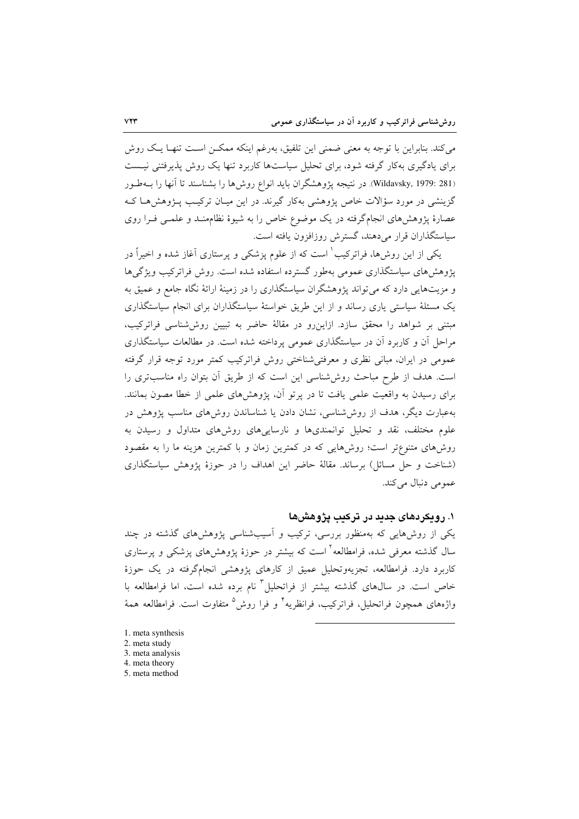می کند. بنابراین با توجه به معنی ضمنی این تلفیق، بهرغم اینکه ممکـن اسـت تنهـا یـک روش برای یادگیری بهکار گرفته شود، برای تحلیل سیاستها کاربرد تنها یک روش پذیرفتنی نیست (Wildavsky, 1979: 281). در نتيجه پژوهشگران بايد انواع روشها را بشناسند تا آنها را بــهطـور گزینشی در مورد سؤالات خاص پژوهشی بهکار گیرند. در این میـان ترکیـب پـژوهش۵مـا کـه عصارهٔ پژوهشهای انجامگرفته در یک موضوع خاص را به شیوهٔ نظامهنـد و علمـی فـرا روی سیاستگذاران قرار می دهند، گسترش روزافزون یافته است.

یکی از این روشها، فراترکیب ٰ است که از علوم پزشکی و پرستاری آغاز شده و اخیراً در یژوهش های سیاستگذاری عمومی بهطور گسترده استفاده شده است. روش فراترکیب ویژگی ها و مزیتهایی دارد که می تواند پژوهشگران سیاستگذاری را در زمینهٔ ارائهٔ نگاه جامع و عمیق به یک مسئلهٔ سیاستی پاری رساند و از این طریق خواستهٔ سیاستگذاران برای انجام سیاستگذاری مبتنی بر شواهد را محقق سازد. ازاین رو در مقالهٔ حاضر به تبیین روششناسی فراترکیب، مراحل آن و کاربرد آن در سیاستگذاری عمومی پرداخته شده است. در مطالعات سیاستگذاری عمومی در ایران، مبانی نظری و معرفتی شناختی روش فراترکیب کمتر مورد توجه قرار گرفته است. هدف از طرح مباحث روششناسی این است که از طریق آن بتوان راه مناسبتری را برای رسیدن به واقعیت علمی یافت تا در پرتو آن، پژوهشهای علمی از خطا مصون بمانند. بهعبارت دیگر، هدف از روش شناسی، نشان دادن یا شناساندن روش۵های مناسب پژوهش در علوم مختلف، نقد و تحلیل توانمندیها و نارساییهای روشهای متداول و رسیدن به روشهای متنوعتر است؛ روشهایی که در کمترین زمان و با کمترین هزینه ما را به مقصود (شناخت و حل مسائل) برساند. مقالهٔ حاضر این اهداف را در حوزهٔ پژوهش سیاستگذاری عمومی دنبال می کند.

### ۱. رویکردهای جدید در ترکیب پژوهشها

یکی از روشهایی که بهمنظور بررسی، ترکیب و آسیبشناسی پژوهشهای گذشته در چند سال گذشته معرفی شده، فرامطالعه<sup>۲</sup> است که بیشتر در حوزهٔ پژوهشهای پزشک<sub>ی</sub> و پرستاری کاربرد دارد. فرامطالعه، تجزیهوتحلیل عمیق از کارهای پژوهشی انجامگرفته در یک حوزهٔ خاص است. در سالهای گذشته بیشتر از فراتحلیل<sup>۳</sup> نام برده شده است، اما فرامطالعه با واژههای همچون فراتحلیل، فراترکیب، فرانظریه<sup>۲</sup> و فرا روش<sup>0</sup> متفاوت است. فرامطالعه همهٔ

- 1. meta synthesis
- 2. meta study
- 3. meta analysis
- 4. meta theory 5. meta method
-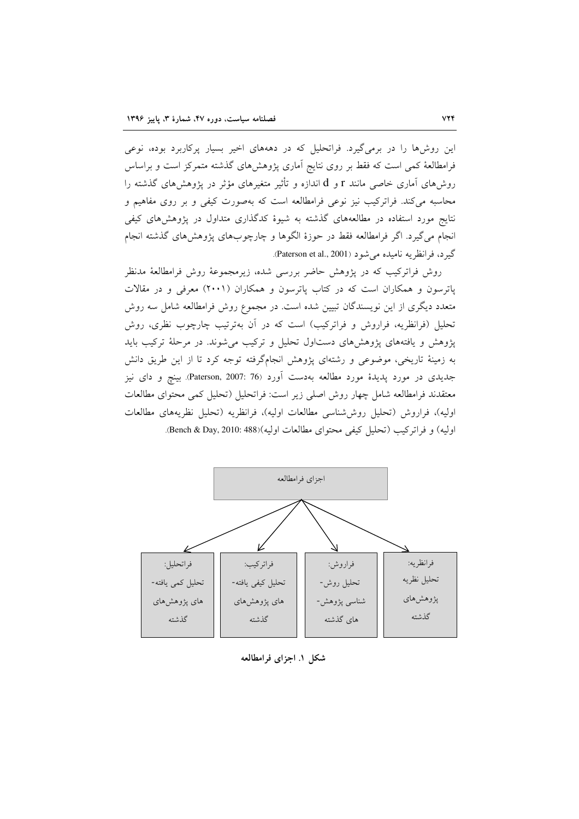این روشها را در برمیگیرد. فراتحلیل که در دهههای اخیر بسیار پرکاربرد بوده، نوعی فرامطالعهٔ کمی است که فقط بر روی نتایج آماری پژوهشهای گذشته متمرکز است و براساس روشهای آماری خاصی مانند r و d اندازه و تأثیر متغیرهای مؤثر در یژوهشهای گذشته را محاسبه میکند. فراترکیب نیز نوعی فرامطالعه است که بهصورت کیفی و بر روی مفاهیم و نتایج مورد استفاده در مطالعههای گذشته به شیوهٔ کدگذاری متداول در پژوهشهای کیفی انجام می گیرد. اگر فرامطالعه فقط در حوزهٔ الگوها و چارچوبهای پژوهشهای گذشته انجام گيرد، فرانظريه ناميده مي شود (Paterson et al., 2001).

روش فراترکیب که در پژوهش حاضر بررسی شده، زیرمجموعهٔ روش فرامطالعهٔ مدنظر پاترسون و همکاران است که در کتاب پاترسون و همکاران (۲۰۰۱) معرفی و در مقالات متعدد دیگری از این نویسندگان تبیین شده است. در مجموع روش فرامطالعه شامل سه روش تحلیل (فرانظریه، فراروش و فراترکیب) است که در آن بهترتیب چارچوب نظری، روش پژوهش و یافتههای پژوهشهای دستاول تحلیل و ترکیب می شوند. در مرحلهٔ ترکیب باید به زمینهٔ تاریخی، موضوعی و رشتهای پژوهش انجامگرفته توجه کرد تا از این طریق دانش جدیدی در مورد پدیدهٔ مورد مطالعه بهدست آورد (76 :2007 .Paterson, 2007). بینچ و دای نیز معتقدند فرامطالعه شامل چهار روش اصلی زیر است: فراتحلیل (تحلیل کمی محتوای مطالعات اوليه)، فراروش (تحليل روششناسي مطالعات اوليه)، فرانظريه (تحليل نظريههاي مطالعات اوليه) و فراتركيب (تحليل كيفي محتواي مطالعات اوليه)(Bench & Day, 2010: 488).



شکل ۱. اجزای فرامطالعه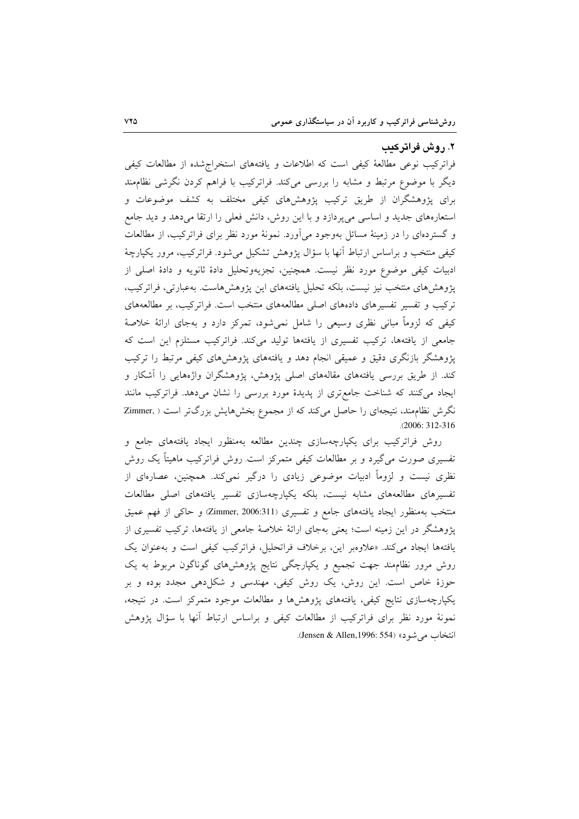#### ۲. روش فراترکیب

فراترکیب نوعی مطالعهٔ کیفی است که اطلاعات و یافتههای استخراج شده از مطالعات کیفی دیگر با موضوع مرتبط و مشابه را بررسی میکند. فراترکیب با فراهم کردن نگرشی نظامهند برای پژوهشگران از طریق ترکیب پژوهشهای کیفی مختلف به کشف موضوعات و استعارههای جدید و اساسی میپردازد و با این روش، دانش فعلی را ارتقا میدهد و دید جامع و گستردهای را در زمینهٔ مسائل بهوجود می[ورد. نمونهٔ مورد نظر برای فراترکیب، از مطالعات کیفی منتخب و براساس ارتباط آنها با سؤال پژوهش تشکیل میشود. فراترکیب، مرور یکپارچهٔ ادبیات کیفی موضوع مورد نظر نیست. همچنین، تجزیهوتحلیل دادهٔ ثانویه و دادهٔ اصلی از یژوهش های منتخب نیز نیست، بلکه تحلیل یافتههای این پژوهش هاست. بهعبارتی، فراترکیب، ترکیب و تفسیر تفسیرهای دادههای اصلی مطالعههای منتخب است. فراترکیب، بر مطالعههای کیفی که لزوماً مبانی نظری وسیعی را شامل نمیشود، تمرکز دارد و بهجای ارائهٔ خلاصهٔ جامعی از یافتهها، ترکیب تفسیری از یافتهها تولید میکند. فراترکیب مستلزم این است که پژوهشگر بازنگری دقیق و عمیقی انجام دهد و یافتههای پژوهشهای کیفی مرتبط را ترکیب کند. از طریق بررسی یافتههای مقالههای اصلی پژوهش، پژوهشگران واژههایی را آشکار و ایجاد میکنند که شناخت جامعتری از پدیدهٔ مورد بررسی را نشان میدهد. فراترکیب مانند نگرش نظام مند، نتیجهای را حاصل میکند که از مجموع بخشهایش بزرگتر است ( .Zimmer  $.2006:312-316$ 

روش فراترکیب برای یکپارچهسازی چندین مطالعه بهمنظور ایجاد یافتههای جامع و تفسیری صورت میگیرد و بر مطالعات کیفی متمرکز است روش فراترکیب ماهیتاً یک روش نظری نیست و لزوماً ادبیات موضوعی زیادی را درگیر نمیکند. همچنین، عصارهای از تفسیرهای مطالعههای مشابه نیست، بلکه یکپارچهسازی تفسیر یافتههای اصلی مطالعات منتخب بهمنظور ایجاد یافتههای جامع و تفسیری (Zimmer, 2006:311) و حاکی از فهم عمیق پژوهشگر در این زمینه است؛ یعنی بهجای ارائهٔ خلاصهٔ جامعی از یافتهها، ترکیب تفسیری از یافتهها ایجاد می کند. «علاوهبر این، برخلاف فراتحلیل، فراترکیب کیفی است و به عنوان یک روش مرور نظامهند جهت تجمیع و یکپارچگی نتایج پژوهشهای گوناگون مربوط به یک حوزهٔ خاص است. این روش، یک روش کیفی، مهندسی و شکلدهی مجدد بوده و بر یکپارچهسازی نتایج کیفی، یافتههای پژوهشها و مطالعات موجود متمرکز است. در نتیجه، نمونهٔ مورد نظر برای فراترکیب از مطالعات کیفی و براساس ارتباط آنها با سؤال پژوهش انتخاب می شود» (Jensen & Allen,1996: 554).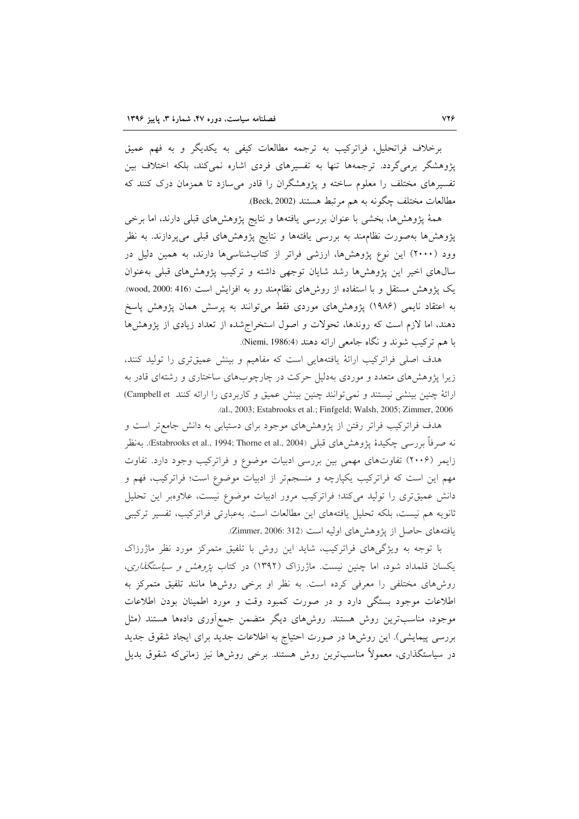برخلاف فراتحلیل، فراترکیب به ترجمه مطالعات کیفی به یکدیگر و به فهم عمیق یژوهشگر برمیگردد. ترجمهها تنها به تفسیرهای فردی اشاره نمی کند، بلکه اختلاف بین تفسیرهای مختلف را معلوم ساخته و پژوهشگران را قادر میسازد تا همزمان درک کنند که مطالعات مختلف چگونه به هم مرتبط هستند (Beck, 2002).

همهٔ پژوهشها، بخشی با عنوان بررسی یافتهها و نتایج پژوهشهای قبلی دارند، اما برخی پژوهشها بهصورت نظامهند به بررسی یافتهها و نتایج پژوهشهای قبلی میپردازند. به نظر وود (۲۰۰۰) این نوع پژوهشها، ارزشی فراتر از کتابشناسیها دارند، به همین دلیل در سال های اخیر این پژوهشها رشد شایان توجهی داشته و ترکیب پژوهشهای قبلی بهعنوان یک پژوهش مستقل و با استفاده از روشهای نظامهند رو به افزایش است (416 :wood, 2000: به اعتقاد نایمی (۱۹۸۶) پژوهشهای موردی فقط میتوانند به پرسش همان پژوهش پاسخ دهند، اما لازم است که روندها، تحولات و اصول استخراج شده از تعداد زیادی از پژوهشها با هم ترکیب شوند و نگاه جامعی ارائه دهند (Niemi, 1986:4).

هدف اصلی فراترکیب ارائهٔ یافتههایی است که مفاهیم و بینش عمیقتری را تولید کنند، زیرا پژوهشهای متعدد و موردی بهدلیل حرکت در چارچوبهای ساختاری و رشتهای قادر به ارائهٔ چنین بینشی نیستند و نمی توانند چنین بینش عمیق و کاربردی را ارائه کنند Campbell et) .(al., 2003; Estabrooks et al.; Finfgeld; Walsh, 2005; Zimmer, 2006

هدف فراترکیب فراتر رفتن از پژوهشهای موجود برای دستیابی به دانش جامع تر است و نه صرفاً بررسي چکيدهٔ يژوهش۵هاي قبلې (Estabrooks et al., 1994; Thorne et al., 2004). بهنظر زایمر (۲۰۰۶) تفاوتهای مهمی بین بررسی ادبیات موضوع و فراترکیب وجود دارد. تفاوت مهم این است که فراترکیب یکپارچه و منسجمتر از ادبیات موضوع است؛ فراترکیب، فهم و دانش عمیقتری را تولید میکند؛ فراترکیب مرور ادبیات موضوع نیست، علاوهبر این تحلیل ثانويه هم نيست، بلكه تحليل يافتههاي اين مطالعات است. بهعبارتي فراتركيب، تفسير تركيبي يافتههاي حاصل از يژوهش هاي اوليه است (Zimmer, 2006: 312).

با توجه به ویژگیهای فراترکیب، شاید این روش با تلفیق متمرکز مورد نظر ماژرزاک یکسان قلمداد شود، اما چنین نیست. ماژرزاک (۱۳۹۲) در کتاب *پژوهش و سیاستگذاری*، روشهای مختلفی را معرفی کرده است. به نظر او برخی روشها مانند تلفیق متمرکز به اطلاعات موجود بستگی دارد و در صورت کمبود وقت و مورد اطمینان بودن اطلاعات موجود، مناسبترین روش هستند. روشهای دیگر متضمن جمع[وری دادهها هستند (مثل بررسی پیمایشی). این روشها در صورت احتیاج به اطلاعات جدید برای ایجاد شقوق جدید در سیاستگذاری، معمولاً مناسبترین روش هستند. برخی روشها نیز زمانی۵ک شقوق بدیل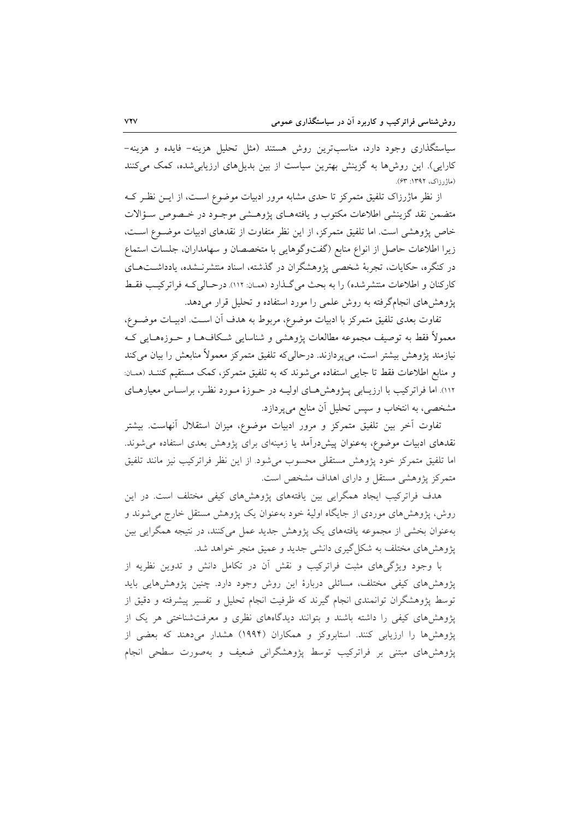سیاستگذاری وجود دارد، مناسبترین روش هستند (مثل تحلیل هزینه– فایده و هزینه– کارایی). این روش،ها به گزینش بهترین سیاست از بین بدیل،های ارزیابی شده، کمک می کنند (ماژرزاک، ۱۳۹۲: ۶۳).

از نظر ماژرزاک تلفیق متمرکز تا حدی مشابه مرور ادبیات موضوع است، از ایـن نظـر کـه متضمن نقد گزینشی اطلاعات مکتوب و یافتههـای پژوهـشی موجـود در خـصوص سـؤالات خاص پژوهشی است. اما تلفیق متمرکز، از این نظر متفاوت از نقدهای ادبیات موضـوع اسـت، زيرا اطلاعات حاصل از انواع منابع (گفتوگوهايي با متخصصان و سهامداران، جلسات استماع در کنگره، حکایات، تجربهٔ شخصی پژوهشگران در گذشته، اسناد منتشرنـشده، یادداشـتهـای كاركنان و اطلاعات منتشر شده) را به بحث می گـذارد (ممـان: ١١٢). درحـالی كـه فراتر كيـب فقـط پژوهشهای انجامگرفته به روش علمی را مورد استفاده و تحلیل قرار میدهد.

تفاوت بعدي تلفيق متمركز با ادبيات موضوع، مربوط به هدف آن اسـت. ادبيـات موضــوع، معمولاً فقط به توصیف مجموعه مطالعات پژوهشی و شناسایی شکافهـا و حــوزههـایی کـه نیازمند پژوهش بیشتر است، میپردازند. درحالیکه تلفیق متمرکز معمولاً منابعش را بیان میکند و منابع اطلاعات فقط تا جايي استفاده مي شوند كه به تلفيق متمركز، كمك مستقيم كننـد (ممان: ۱۱۲). اما فراترکیب با ارزیــابی پــژوهشهــای اولیــه در حــوزهٔ مــورد نظـر، براســاس معیارهــای مشخصی، به انتخاب و سپس تحلیل آن منابع میپردازد.

تفاوت آخر بین تلفیق متمرکز و مرور ادبیات موضوع، میزان استقلال آنهاست. بیشتر نقدهای ادبیات موضوع، بهعنوان پیش درآمد یا زمینهای برای پژوهش بعدی استفاده می شوند. اما تلفيق متمركز خود يژوهش مستقلي محسوب مي شود. از اين نظر فراتركيب نيز مانند تلفيق متمرکز پژوهشی مستقل و دارای اهداف مشخص است.

هدف فراترکیب ایجاد همگرایی بین یافتههای پژوهشهای کیفی مختلف است. در این روش، پژوهشهای موردی از جایگاه اولیهٔ خود بهعنوان یک پژوهش مستقل خارج میشوند و بهعنوان بخشی از مجموعه یافتههای یک پژوهش جدید عمل میکنند، در نتیجه همگرایی بین یژوهش های مختلف به شکل گیری دانشی جدید و عمیق منجر خواهد شد.

با وجود ویژگیهای مثبت فراترکیب و نقش آن در تکامل دانش و تدوین نظریه از پژوهشهای کیفی مختلف، مسائلی دربارهٔ این روش وجود دارد. چنین پژوهشهایی باید توسط پژوهشگران توانمندی انجام گیرند که ظرفیت انجام تحلیل و تفسیر پیشرفته و دقیق از پژوهشهای کیفی را داشته باشند و بتوانند دیدگاههای نظری و معرفتشناختی هر یک از یژوهشها را ارزیابی کنند. استابروکز و همکاران (۱۹۹۴) هشدار میدهند که بعضی از پژوهش های مبتنی بر فراترکیب توسط پژوهشگرانی ضعیف و بهصورت سطحی انجام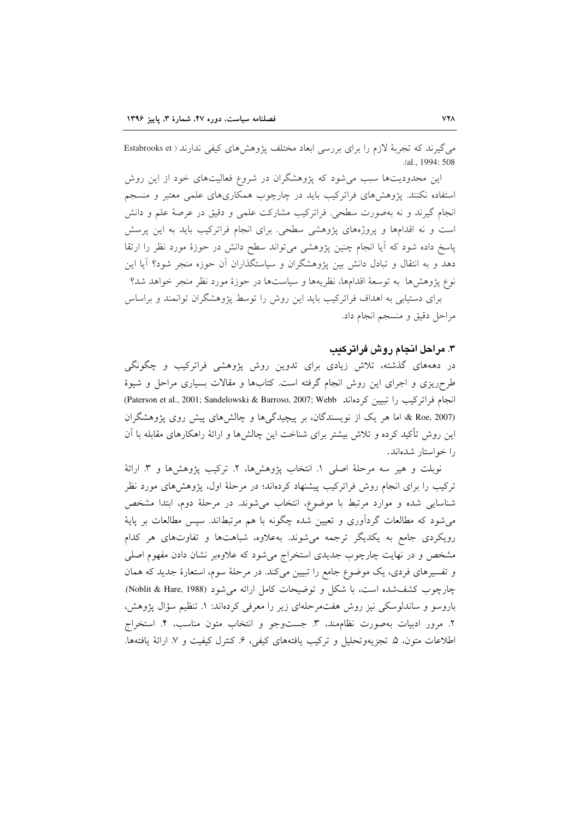می گیرند که تجربهٔ لازم را برای بررسی ابعاد مختلف پژوهشهای کیفی ندارند ( Estabrooks et .(al., 1994: 508

این محدودیتها سبب میشود که پژوهشگران در شروع فعالیتهای خود از این روش استفاده نکنند. پژوهشهای فراترکیب باید در چارچوب همکاریهای علمی معتبر و منسجم انجام گیرند و نه بهصورت سطحی. فراترکیب مشارکت علمی و دقیق در عرصهٔ علم و دانش است و نه اقدامها و پروژههای پژوهشی سطحی. برای انجام فراترکیب باید به این پرسش پاسخ داده شود که آیا انجام چنین پژوهشی می تواند سطح دانش در حوزهٔ مورد نظر را ارتقا دهد و به انتقال و تبادل دانش بین یژوهشگران و سیاستگذاران آن حوزه منجر شود؟ آیا این نوع يژوهش ها به توسعهٔ اقدامها، نظريهها و سياستها در حوزهٔ مورد نظر منجر خواهد شد؟ برای دستیابی به اهداف فراترکیب باید این روش را توسط پژوهشگران توانمند و براساس

مراحل دقيق و منسجم انجام داد.

#### ۳. مراحل انجام روش فراترکیب

در دهههای گذشته، تلاش زیادی برای تدوین روش پژوهشی فراترکیب و چگونگی طرحریزی و اجرای این روش انجام گرفته است. کتابها و مقالات بسیاری مراحل و شیوهٔ (Paterson et al., 2001; Sandelowski & Barroso, 2007; Webb أنجام فراتركيب را تبيين كردهاند (Roe, 2007 & اما هر یک از نویسندگان، بر پیچیدگیها و چالشهای پیش روی پژوهشگران این روش تأکید کرده و تلاش بیشتر برای شناخت این چالشها و ارائهٔ راهکارهای مقابله با آن را خواستار شدهاند.

نوبلت و هير سه مرحلة اصلي ١. انتخاب پژوهشها، ٢. تركيب پژوهشها و ٣. ارائة ترکیب را برای انجام روش فراترکیب پیشنهاد کردهاند؛ در مرحلهٔ اول، پژوهشهای مورد نظر شناسایی شده و موارد مرتبط با موضوع، انتخاب میشوند. در مرحلهٔ دوم، ابتدا مشخص میشود که مطالعات گردآوری و تعیین شده چگونه با هم مرتبطاند. سپس مطالعات بر پایهٔ رویکردی جامع به یکدیگر ترجمه میشوند. بهعلاوه، شباهتها و تفاوتهای هر کدام مشخص و در نهایت چارچوب جدیدی استخراج میشود که علاوهبر نشان دادن مفهوم اصلی و تفسیرهای فردی، یک موضوع جامع را تبیین میکند. در مرحلهٔ سوم، استعارهٔ جدید که همان چارچوب كشفشده است، با شكل و توضيحات كامل ارائه مى شود (Noblit & Hare, 1988). باروسو و ساندلوسکی نیز روش هفتمرحلهای زیر را معرفی کردهاند: ۱. تنظیم سؤال پژوهش، ٢. مرور ادبيات بهصورت نظامهند، ٣. جستوجو و انتخاب متون مناسب، ۴. استخراج اطلاعات متون، ۵. تجزیهوتحلیل و ترکیب یافتههای کیفی، ۶. کنترل کیفیت و ۷. ارائهٔ یافتهها.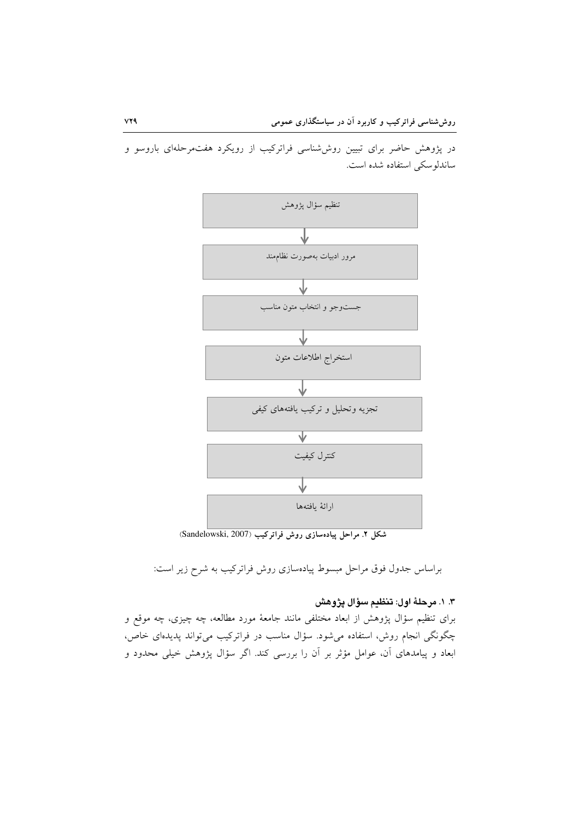در پژوهش حاضر برای تبیین روششناسی فراترکیب از رویکرد هفتمرحلهای باروسو و ساندلوسکی استفاده شده است.



شکل ۲. مراحل پیادهسازی روش فراترکیب (Sandelowski, 2007)

براساس جدول فوق مراحل مبسوط پیادهسازی روش فراترکیب به شرح زیر است:

## ٣. ١. مرحلهٔ اول: تنظيم سؤال يژوهش

برای تنظیم سؤال پژوهش از ابعاد مختلفی مانند جامعهٔ مورد مطالعه، چه چیزی، چه موقع و چگونگی انجام روش، استفاده میشود. سؤال مناسب در فراترکیب میتواند پدیدهای خاص، ابعاد و پیامدهای آن، عوامل مؤثر بر آن را بررسی کند. اگر سؤال پژوهش خیلی محدود و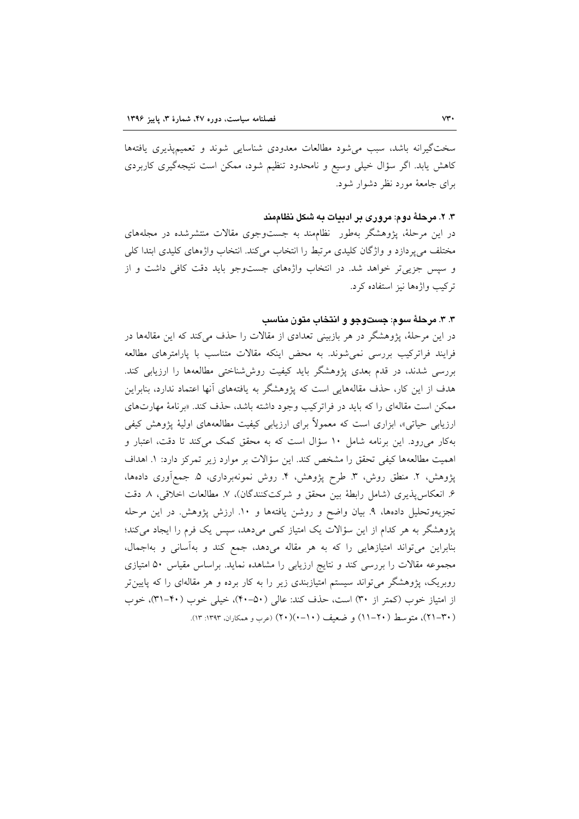سختگیرانه باشد، سبب می شود مطالعات معدودی شناسایی شوند و تعمیمپذیری یافتهها کاهش پابد. اگر سؤال خیلی وسیع و نامحدود تنظیم شود، ممکن است نتیجهگیری کاربردی برای جامعهٔ مورد نظر دشوار شود.

#### ۳. ۲. مرحلهٔ دوم: مروری بر ادبیات به شکل نظاممند

در این مرحلهٔ، پژوهشگر بهطور ًنظامهند به جستوجوی مقالات منتشرشده در مجلههای مختلف می پردازد و واژگان کلیدی مرتبط را انتخاب میکند. انتخاب واژههای کلیدی ابتدا کلی و سپس جزیی تر خواهد شد. در انتخاب واژههای جستوجو باید دقت کافی داشت و از ترکیب واژهها نیز استفاده کرد.

#### ۳. ۳. مرحلهٔ سوم: جستوجو و انتخاب متون مناسب

در این مرحلهٔ، پژوهشگر در هر بازبینی تعدادی از مقالات را حذف می کند که این مقالهها در فرایند فراترکیب بررسی نمیشوند. به محض اینکه مقالات متناسب با پارامترهای مطالعه بررسی شدند، در قدم بعدی پژوهشگر باید کیفیت روششناختی مطالعهها را ارزیابی کند. هدف از این کار، حذف مقالههایی است که یژوهشگر به یافتههای آنها اعتماد ندارد، بنابراین ممکن است مقالهای را که باید در فراترکیب وجود داشته باشد، حذف کند. «برنامهٔ مهارتهای ارزیابی حیاتی»، ابزاری است که معمولاً برای ارزیابی کیفیت مطالعههای اولیهٔ پژوهش کیفی بهکار میرود. این برنامه شامل ۱۰ سؤال است که به محقق کمک می کند تا دقت، اعتبار و اهميت مطالعهها كيفي تحقق را مشخص كند. اين سؤالات بر موارد زير تمركز دارد: ١. اهداف پژوهش، ۲. منطق روش، ۳. طرح پژوهش، ۴. روش نمونهبرداری، ۵. جمعآوری دادهها، ۶. انعکاسپذیری (شامل رابطهٔ بین محقق و شرکتکنندگان)، ۷. مطالعات اخلاقی، ۸ دقت تجزیهوتحلیل دادهها، ۹. بیان واضح و روشن یافتهها و ۱۰. ارزش پژوهش. در این مرحله پژوهشگر به هر کدام از این سؤالات یک امتیاز کمی میدهد، سپس یک فرم را ایجاد میکند؛ بنابراین میتواند امتیازهایی را که به هر مقاله میدهد، جمع کند و بهآسانی و بهاجمال، مجموعه مقالات را بررسی کند و نتایج ارزیابی را مشاهده نماید. براساس مقیاس ۵۰ امتیازی روبریک، پژوهشگر میتواند سیستم امتیازبندی زیر را به کار برده و هر مقالهای را که پایین تر از امتیاز خوب (کمتر از ۳۰) است، حذف کند: عالی (۵۰-۴۰)، خیلی خوب (۴۰-۳۱)، خوب (٣٠–٢١)، متوسط (٢٠–١١) و ضعيف (١٠–٢٠)(٢٠) (عرب و همكاران، ١٣٩٣: ١٣).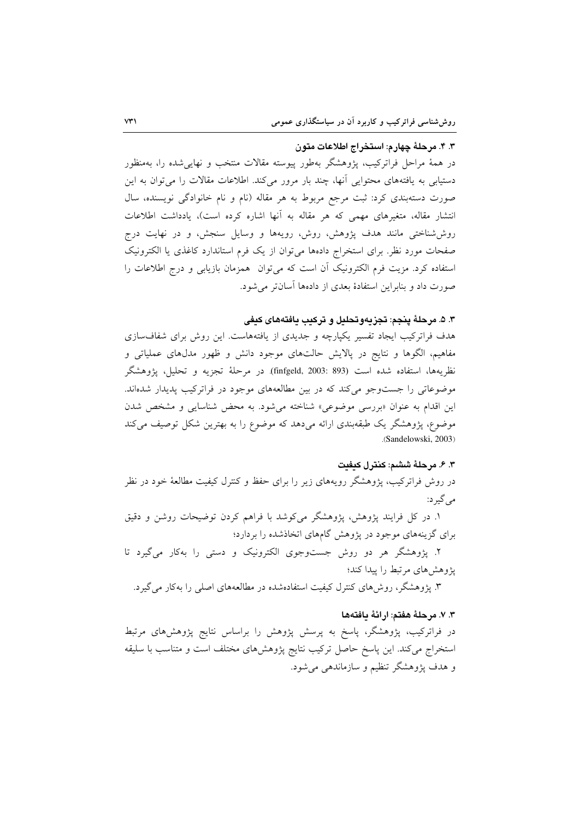#### ۴. ۴. مرحلهٔ چهارم: استخراج اطلاعات متون

در همهٔ مراحل فراترکیب، پژوهشگر بهطور پیوسته مقالات منتخب و نهایی شده را، بهمنظور دستیابی به یافتههای محتوایی آنها، چند بار مرور میکند. اطلاعات مقالات را می توان به این صورت دستهبندی کرد: ثبت مرجع مربوط به هر مقاله (نام و نام خانوادگی نویسنده، سال انتشار مقاله، متغیرهای مهمی که هر مقاله به آنها اشاره کرده است)، یادداشت اطلاعات روششناختی مانند هدف پژوهش، روش، رویهها و وسایل سنجش، و در نهایت درج صفحات مورد نظر. برای استخراج دادهها می توان از یک فرم استاندارد کاغذی یا الکترونیک استفاده کرد. مزیت فرم الکترونیک آن است که می توان همزمان بازیابی و درج اطلاعات را صورت داد و بنابراین استفادهٔ بعدی از دادهها آسانتر می شود.

#### ٣. ۵. مرحلهٔ ينجم: تجزيهوتحليل و تركيب يافتههاى كيفى

هدف فراترکیب ایجاد تفسیر یکپارچه و جدیدی از یافتههاست. این روش برای شفافسازی مفاهیم، الگوها و نتایج در پالایش حالتهای موجود دانش و ظهور مدلهای عملیاتی و نظريهها، استفاده شده است (103: 893)finfgeld, 2003: در مرحلهٔ تجزيه و تحليل، يژوهشگر موضوعاتی را جستوجو می کند که در بین مطالعههای موجود در فراترکیب پدیدار شدهاند. این اقدام به عنوان «بررسی موضوعی» شناخته میشود. به محض شناسایی و مشخص شدن موضوع، پژوهشگر یک طبقهبندی ارائه میدهد که موضوع را به بهترین شکل توصیف می کند .(Sandelowski, 2003)

#### ۴. ۶. مرحلهٔ ششم: کنترل کیفت

در روش فراترکیب، پژوهشگر رویههای زیر را برای حفظ و کنترل کیفیت مطالعهٔ خود در نظر مي گير د:

١. در كل فرايند يژوهش، يژوهشگر مى كوشد با فراهم كردن توضيحات روشن و دقيق برای گزینههای موجود در پژوهش گامهای اتخاذشده را بردارد؛

۲. پژوهشگر هر دو روش جستوجوی الکترونیک و دستی را بهکار میگیرد تا پژوهشهای مرتبط را پیدا کند؛

۳. پژوهشگر، روش۵ای کنترل کیفیت استفادهشده در مطالعههای اصلی را بهکار میگیرد.

#### ٣. ٧. مرحلهٔ هفتم: ارائهٔ مافتهها

در فراترکیب، پژوهشگر، پاسخ به پرسش پژوهش را براساس نتایج پژوهشهای مرتبط استخراج می کند. این پاسخ حاصل ترکیب نتایج پژوهشهای مختلف است و متناسب با سلیقه و هدف پژوهشگر تنظیم و سازماندهی می شود.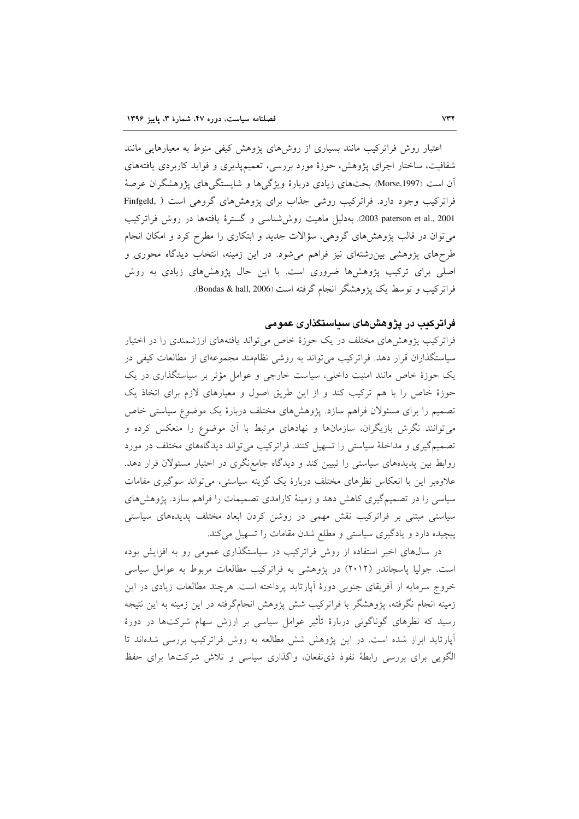اعتبار روش فراترکیب مانند بسیاری از روشهای پژوهش کیفی منوط به معیارهایی مانند شفافیت، ساختار اجرای یژوهش، حوزهٔ مورد بررسی، تعمیمپذیری و فواید کاربردی یافتههای آن است (Morse,1997). بحثهای زیادی دربارهٔ ویژگیها و شایستگیهای پژوهشگران عرصهٔ فراترکیب وجود دارد. فراترکیب روشی جذاب برای پژوهشهای گروهی است ( ,Finfgeld 2001 ,paterson et al., 2001. بهدلیل ماهیت روش شناسی و گسترهٔ یافتهها در روش فراترکیب می توان در قالب پژوهشهای گروهی، سؤالات جدید و ابتکاری را مطرح کرد و امکان انجام طرحهای پژوهشی بین رشتهای نیز فراهم میشود. در این زمینه، انتخاب دیدگاه محوری و اصلی برای ترکیب پژوهشها ضروری است. با این حال پژوهشهای زیادی به روش فراترکیب و توسط یک پژوهشگر انجام گرفته است (Bondas & hall, 2006).

#### فراترکیب در یژوهشهای سیاستگذاری عمومی

فراترکیب پژوهشهای مختلف در یک حوزهٔ خاص می تواند یافتههای ارزشمندی را در اختیار سیاستگذاران قرار دهد. فراترکیب می تواند به روشی نظام مند مجموعهای از مطالعات کیفی در یک حوزهٔ خاص مانند امنیت داخلی، سیاست خارجی و عوامل مؤثر بر سیاستگذاری در یک حوزهٔ خاص را با هم ترکیب کند و از این طریق اصول و معیارهای لازم برای اتخاذ یک تصمیم را برای مسئولان فراهم سازد. پژوهشهای مختلف دربارهٔ یک موضوع سیاستی خاص می توانند نگرش بازیگران، سازمانها و نهادهای مرتبط با آن موضوع را منعکس کرده و تصمیم گیری و مداخلهٔ سیاستی را تسهیل کنند. فراترکیب می تواند دیدگاههای مختلف در مورد روابط بین پدیدههای سیاستی را تبیین کند و دیدگاه جامع نگری در اختیار مسئولان قرار دهد. علاوهبر این با انعکاس نظرهای مختلف دربارهٔ یک گزینه سیاستی، می تواند سوگیری مقامات سیاسی را در تصمیمگیری کاهش دهد و زمینهٔ کارامدی تصمیمات را فراهم سازد. پژوهشهای سیاستی مبتنی بر فراترکیب نقش مهمی در روشن کردن ابعاد مختلف پدیدههای سیاستی پیچیده دارد و یادگیری سیاستی و مطلع شدن مقامات را تسهیل میکند.

در سالهای اخیر استفاده از روش فراترکیب در سیاستگذاری عمومی رو به افزایش بوده است. جولیا پاسچاندر (۲۰۱۲) در پژوهشی به فراترکیب مطالعات مربوط به عوامل سیاسی خروج سرمایه از آفریقای جنوبی دورهٔ آپارتاید پرداخته است. هرچند مطالعات زیادی در این زمینه انجام نگرفته، یژوهشگر با فراترکیب شش یژوهش انجامگرفته در این زمینه به این نتیجه رسید که نظرهای گوناگونی دربارهٔ تأثیر عوامل سیاسی بر ارزش سهام شرکتها در دورهٔ آپارتاید ابراز شده است. در این پژوهش شش مطالعه به روش فراترکیب بررسی شدهاند تا الگویی برای بررسی رابطهٔ نفوذ ذی،نفعان، واگذاری سیاسی و تلاش شرکتها برای حفظ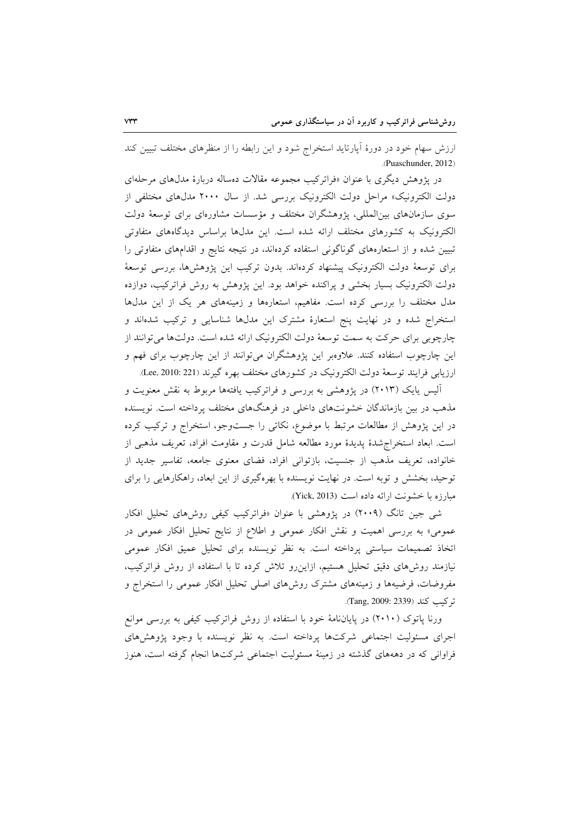ارزش سهام خود در دورهٔ آپارتاید استخراج شود و این رابطه را از منظرهای مختلف تبیین کند (Puaschunder, 2012).

در پژوهش دیگری با عنوان «فراترکیب مجموعه مقالات دهساله دربارهٔ مدلهای مرحلهای دولت الكترونيك» مراحل دولت الكترونيك بررسي شد. از سال ۲۰۰۰ مدلهاى مختلفى از سوی سازمانهای بینالمللی، پژوهشگران مختلف و مؤسسات مشاورمای برای توسعهٔ دولت الکترونیک به کشورهای مختلف ارائه شده است. این مدلها براساس دیدگاههای متفاوتی تبیین شده و از استعارههای گوناگونی استفاده کردهاند، در نتیجه نتایج و اقدامهای متفاوتی را برای توسعهٔ دولت الکترونیک پیشنهاد کردهاند. بدون ترکیب این پژوهشها، بررسی توسعهٔ دولت الکترونیک بسیار بخشی و پراکنده خواهد بود. این پژوهش به روش فراترکیب، دوازده مدل مختلف را بررسی کرده است. مفاهیم، استعارهها و زمینههای هر یک از این مدلها استخراج شده و در نهایت پنج استعارهٔ مشترک این مدلها شناسایی و ترکیب شدهاند و چارچوبی برای حرکت به سمت توسعهٔ دولت الکترونیک ارائه شده است. دولتها می توانند از این چارچوب استفاده کنند. علاوهبر این پژوهشگران میتوانند از این چارچوب برای فهم و ارزيابي فرايند توسعهٔ دولت الكترونيک در کشورهای مختلف بهره گيرند (Lee, 2010: 221).

آلیس یایک (۲۰۱۳) در پژوهشی به بررسی و فراترکیب یافتهها مربوط به نقش معنویت و مذهب در بین بازماندگان خشونتهای داخلی در فرهنگهای مختلف پرداخته است. نویسنده در این پژوهش از مطالعات مرتبط با موضوع، نکاتی را جستوجو، استخراج و ترکیب کرده است. ابعاد استخراج شدهٔ یدیدهٔ مورد مطالعه شامل قدرت و مقاومت افراد، تعریف مذهبی از خانواده، تعریف مذهب از جنسیت، بازتوانی افراد، فضای معنوی جامعه، تفاسیر جدید از توحید، بخشش و توبه است. در نهایت نویسنده با بهرهگیری از این ابعاد، راهکارهایی را برای مبارزه با خشونت ارائه داده است (Yick, 2013).

شی جین تانگ (۲۰۰۹) در پژوهشی با عنوان «فراترکیب کیفی روشهای تحلیل افکار عمومی» به بررسی اهمیت و نقش افکار عمومی و اطلاع از نتایج تحلیل افکار عمومی در اتخاذ تصمیمات سیاستی پرداخته است. به نظر نویسنده برای تحلیل عمیق افکار عمومی نیازمند روشهای دقیق تحلیل هستیم، ازاین رو تلاش کرده تا با استفاده از روش فراترکیب، مفروضات، فرضیهها و زمینههای مشترک روشهای اصلی تحلیل افکار عمومی را استخراج و تر کیب کند (Tang, 2009: 2339).

ورنا پاتوک (۲۰۱۰) در پایاننامهٔ خود با استفاده از روش فراترکیب کیفی به بررسی موانع اجرای مسئولیت اجتماعی شرکتها پرداخته است. به نظر نویسنده با وجود پژوهشهای فراوانی که در دهههای گذشته در زمینهٔ مسئولیت اجتماعی شرکتها انجام گرفته است، هنوز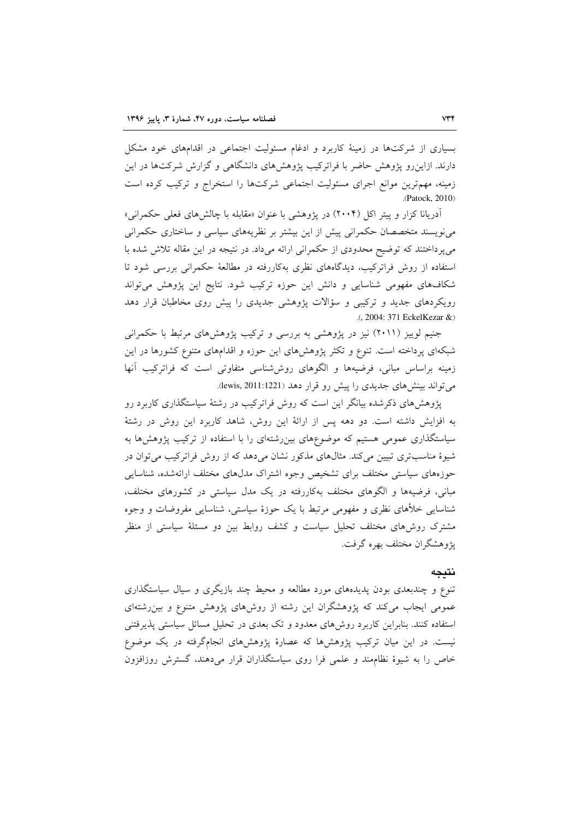بسیاری از شرکتها در زمینهٔ کاربرد و ادغام مسئولیت اجتماعی در اقدامهای خود مشکل دارند. ازاینررو پژوهش حاضر با فراترکیب پژوهشهای دانشگاهی و گزارش شرکتها در این زمینه، مهمترین موانع اجرای مسئولیت اجتماعی شرکتها را استخراج و ترکیب کرده است .(Patock, 2010)

آدریانا کزار و پیتر اکل (۲۰۰۴) در پژوهشی با عنوان «مقابله با چالشهای فعلی حکمرانی» مینویسند متخصصان حکمرانی پیش از این بیشتر بر نظریههای سیاسی و ساختاری حکمرانی می پرداختند که توضیح محدودی از حکمرانی ارائه میداد. در نتیجه در این مقاله تلاش شده با استفاده از روش فراترکیب، دیدگاههای نظری بهکاررفته در مطالعهٔ حکمرانی بررسی شود تا شکافهای مفهومی شناسایی و دانش این حوزه ترکیب شود. نتایج این پژوهش می تواند رویکردهای جدید و ترکیبی و سؤالات پژوهشی جدیدی را پیش روی مخاطبان قرار دهد .(, 2004: 371 EckelKezar &)

جنیم لوییز (۲۰۱۱) نیز در پژوهشی به بررسی و ترکیب پژوهشهای مرتبط با حکمرانی شبکهای پرداخته است. تنوع و تکثر پژوهشهای این حوزه و اقدامهای متنوع کشورها در این زمینه براساس مبانی، فرضیهها و الگوهای روششناسی متفاوتی است که فراترکیب آنها می تواند بینش های جدیدی را پیش رو قرار دهد (lewis, 2011:1221).

پژوهشهای ذکرشده بیانگر این است که روش فراترکیب در رشتهٔ سیاستگذاری کاربرد رو به افزایش داشته است. دو دهه پس از ارائهٔ این روش، شاهد کاربرد این روش در رشتهٔ سیاستگذاری عمومی هستیم که موضوعهای بین رشتهای را با استفاده از ترکیب پژوهشها به شیوهٔ مناسبتری تبیین میکند. مثالهای مذکور نشان میدهد که از روش فراترکیب می توان در حوزههای سیاستی مختلف برای تشخیص وجوه اشتراک مدلهای مختلف ارائهشده، شناسایی مبانی، فرضیهها و الگوهای مختلف بهکاررفته در یک مدل سیاستی در کشورهای مختلف، شناسایی خلأهای نظری و مفهومی مرتبط با یک حوزهٔ سیاستی، شناسایی مفروضات و وجوه مشترک روش۵های مختلف تحلیل سیاست و کشف روابط بین دو مسئلهٔ سیاستی از منظر يژوهشگران مختلف بهره گرفت.

#### نتىجە

تنوع و چندبعدی بودن پدیدههای مورد مطالعه و محیط چند بازیگری و سیال سیاستگذاری عمومی ایجاب می کند که پژوهشگران این رشته از روشهای پژوهش متنوع و بین رشتهای استفاده کنند. بنابراین کاربرد روشهای معدود و تک بعدی در تحلیل مسائل سیاستی پذیرفتنی نیست. در این میان ترکیب پژوهشها که عصارهٔ پژوهشهای انجامگرفته در یک موضوع خاص را به شیوهٔ نظامهند و علمی فرا روی سیاستگذاران قرار میدهند، گسترش روزافزون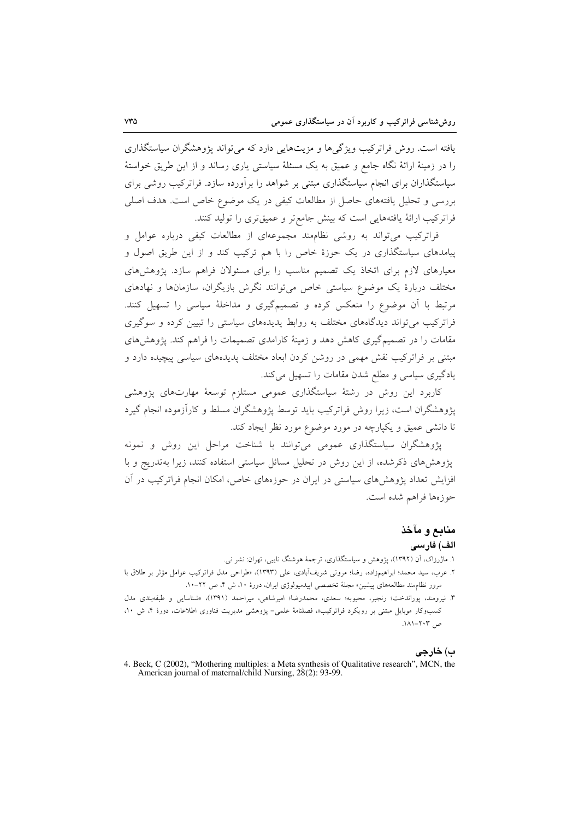یافته است. روش فراترکیب ویژگیها و مزیتهایی دارد که می تواند پژوهشگران سیاستگذاری را در زمینهٔ ارائهٔ نگاه جامع و عمیق به یک مسئلهٔ سیاستی پاری رساند و از این طریق خواستهٔ سیاستگذاران برای انجام سیاستگذاری مبتنی بر شواهد را برآورده سازد. فراترکیب روشی برای بررسی و تحلیل یافتههای حاصل از مطالعات کیفی در یک موضوع خاص است. هدف اصلی فراتركيب ارائة يافتههايي است كه بينش جامع تر و عميق ترى را توليد كنند.

فراترکیب می تواند به روشی نظامهند مجموعهای از مطالعات کیفی درباره عوامل و پیامدهای سیاستگذاری در یک حوزهٔ خاص را با هم ترکیب کند و از این طریق اصول و معیارهای لازم برای اتخاذ یک تصمیم مناسب را برای مسئولان فراهم سازد. پژوهشهای مختلف دربارهٔ یک موضوع سیاستی خاص می توانند نگرش بازیگران، سازمانها و نهادهای مرتبط با آن موضوع را منعکس کرده و تصمیمگیری و مداخلهٔ سیاسی را تسهیل کنند. فراترکیب می تواند دیدگاههای مختلف به روابط پدیدههای سیاستی را تبیین کرده و سوگیری مقامات را در تصمیمگیری کاهش دهد و زمینهٔ کارامدی تصمیمات را فراهم کند. پژوهش های مبتنی بر فراترکیب نقش مهمی در روشن کردن ابعاد مختلف پدیدههای سیاسی پیچیده دارد و یادگیری سیاسی و مطلع شدن مقامات را تسهیل میکند.

کاربرد این روش در رشتهٔ سیاستگذاری عمومی مستلزم توسعهٔ مهارتهای پژوهشی یژوهشگران است، زیرا روش فراترکیب باید توسط پژوهشگران مسلط و کارآزموده انجام گیرد تا دانشی عمیق و یکپارچه در مورد موضوع مورد نظر ایجاد کند.

یژوهشگران سیاستگذاری عمومی می توانند با شناخت مراحل این روش و نمونه یژوهش های ذکرشده، از این روش در تحلیل مسائل سیاستی استفاده کنند، زیرا بهتدریج و با افزایش تعداد پژوهشهای سیاستی در ایران در حوزههای خاص، امکان انجام فراترکیب در آن حوزهها فراهم شده است.

## منابع و مآخذ

#### الف) فارسى

۱. ماژرزاک، آن (۱۳۹۲)، یژوهش و سیاستگذاری، ترجمهٔ هوشنگ نایبی، تهران: نشر نی.

٢. عرب، سيد محمد؛ ابراهيمزاده، رضا؛ مروتي شريفآبادي، على (١٣٩٣)، «طراحي مدل فراتركيب عوامل مؤثر بر طلاق با مرور نظامِمند مطالعههای پیشین» مجلهٔ تخصصی اپیدمیولوژی ایران، دورهٔ ۱۰، ش ۴، ص ۲۲-۱۰.

۳. نیرومند، پوراندخت؛ رنجبر، محبوبه؛ سعدی، محمدرضا؛ امیرشاهی، میراحمد (۱۳۹۱)، «شناسایی و طبقهبندی مدل کسبوکار موبایل مبتنی بر رویکرد فراترکیب»، فصلنامهٔ علمی- پژوهشی مدیریت فناوری اطلاعات، دورهٔ ۴، ش ۱۰، ص ۲۰۳–۱۸۱.

ب) خارجى

<sup>4.</sup> Beck, C (2002), "Mothering multiples: a Meta synthesis of Qualitative research", MCN, the American journal of maternal/child Nursing, 28(2): 93-99.